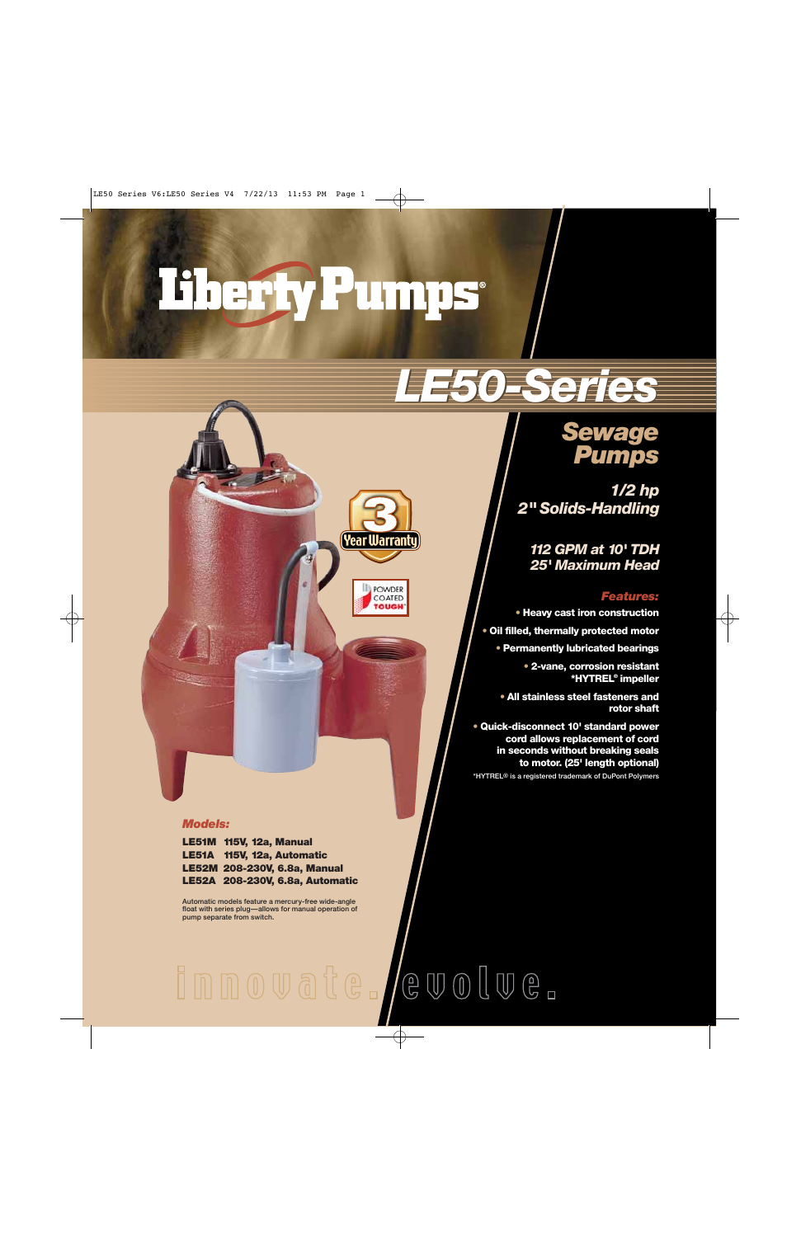# Therfy Pumps

## *LE50-Series LE50-Series*

### *Sewage Pumps*

*1/2 hp 2" Solids-Handling*

*112 GPM at 10' TDH 25' Maximum Head*

#### *Features:*

**• Heavy cast iron construction**

**• Oil filled, thermally protected motor**

**• Permanently lubricated bearings**

**• 2-vane, corrosion resistant \*HYTREL® impeller**

**• All stainless steel fasteners and rotor shaft**

**• Quick-disconnect 10' standard power cord allows replacement of cord in seconds without breaking seals to motor. (25' length optional)**

**\*HYTREL® is a registered trademark of DuPont Polymers**

#### *Models:*

**LE51M 115V, 12a, Manual LE51A 115V, 12a, Automatic LE52M 208-230V, 6.8a, Manual LE52A 208-230V, 6.8a, Automatic**

**Automatic models feature a mercury-free wide-angle float with series plug—allows for manual operation of pump separate from switch.**

## innovate. /evolve.

(Year Warranty`

POWDER COATED **TOUGH**